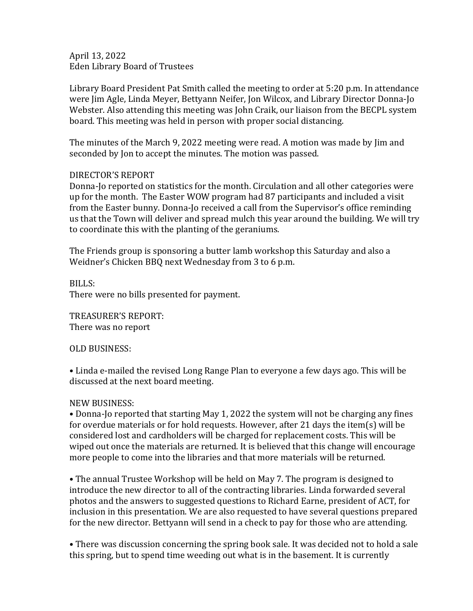April 13, 2022 Eden Library Board of Trustees

Library Board President Pat Smith called the meeting to order at 5:20 p.m. In attendance were Jim Agle, Linda Meyer, Bettyann Neifer, Jon Wilcox, and Library Director Donna-Jo Webster. Also attending this meeting was John Craik, our liaison from the BECPL system board. This meeting was held in person with proper social distancing.

The minutes of the March 9, 2022 meeting were read. A motion was made by Jim and seconded by Jon to accept the minutes. The motion was passed.

## DIRECTOR'S REPORT

Donna-Jo reported on statistics for the month. Circulation and all other categories were up for the month. The Easter WOW program had 87 participants and included a visit from the Easter bunny. Donna-Jo received a call from the Supervisor's office reminding us that the Town will deliver and spread mulch this year around the building. We will try to coordinate this with the planting of the geraniums.

The Friends group is sponsoring a butter lamb workshop this Saturday and also a Weidner's Chicken BBQ next Wednesday from 3 to 6 p.m.

BILLS: There were no bills presented for payment.

TREASURER'S REPORT: There was no report

OLD BUSINESS:

• Linda e-mailed the revised Long Range Plan to everyone a few days ago. This will be discussed at the next board meeting.

## NEW BUSINESS:

• Donna-Jo reported that starting May 1, 2022 the system will not be charging any fines for overdue materials or for hold requests. However, after 21 days the item(s) will be considered lost and cardholders will be charged for replacement costs. This will be wiped out once the materials are returned. It is believed that this change will encourage more people to come into the libraries and that more materials will be returned.

• The annual Trustee Workshop will be held on May 7. The program is designed to introduce the new director to all of the contracting libraries. Linda forwarded several photos and the answers to suggested questions to Richard Earne, president of ACT, for inclusion in this presentation. We are also requested to have several questions prepared for the new director. Bettyann will send in a check to pay for those who are attending.

• There was discussion concerning the spring book sale. It was decided not to hold a sale this spring, but to spend time weeding out what is in the basement. It is currently